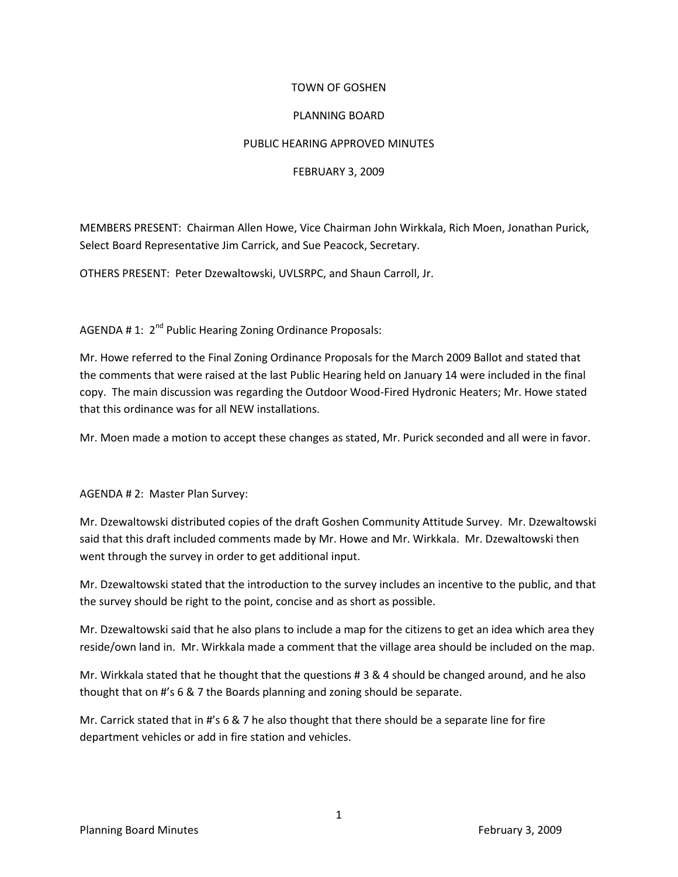## TOWN OF GOSHEN

## PLANNING BOARD

## PUBLIC HEARING APPROVED MINUTES

## FEBRUARY 3, 2009

MEMBERS PRESENT: Chairman Allen Howe, Vice Chairman John Wirkkala, Rich Moen, Jonathan Purick, Select Board Representative Jim Carrick, and Sue Peacock, Secretary.

OTHERS PRESENT: Peter Dzewaltowski, UVLSRPC, and Shaun Carroll, Jr.

AGENDA # 1: 2<sup>nd</sup> Public Hearing Zoning Ordinance Proposals:

Mr. Howe referred to the Final Zoning Ordinance Proposals for the March 2009 Ballot and stated that the comments that were raised at the last Public Hearing held on January 14 were included in the final copy. The main discussion was regarding the Outdoor Wood-Fired Hydronic Heaters; Mr. Howe stated that this ordinance was for all NEW installations.

Mr. Moen made a motion to accept these changes as stated, Mr. Purick seconded and all were in favor.

AGENDA # 2: Master Plan Survey:

Mr. Dzewaltowski distributed copies of the draft Goshen Community Attitude Survey. Mr. Dzewaltowski said that this draft included comments made by Mr. Howe and Mr. Wirkkala. Mr. Dzewaltowski then went through the survey in order to get additional input.

Mr. Dzewaltowski stated that the introduction to the survey includes an incentive to the public, and that the survey should be right to the point, concise and as short as possible.

Mr. Dzewaltowski said that he also plans to include a map for the citizens to get an idea which area they reside/own land in. Mr. Wirkkala made a comment that the village area should be included on the map.

Mr. Wirkkala stated that he thought that the questions # 3 & 4 should be changed around, and he also thought that on #'s 6 & 7 the Boards planning and zoning should be separate.

Mr. Carrick stated that in #'s 6 & 7 he also thought that there should be a separate line for fire department vehicles or add in fire station and vehicles.